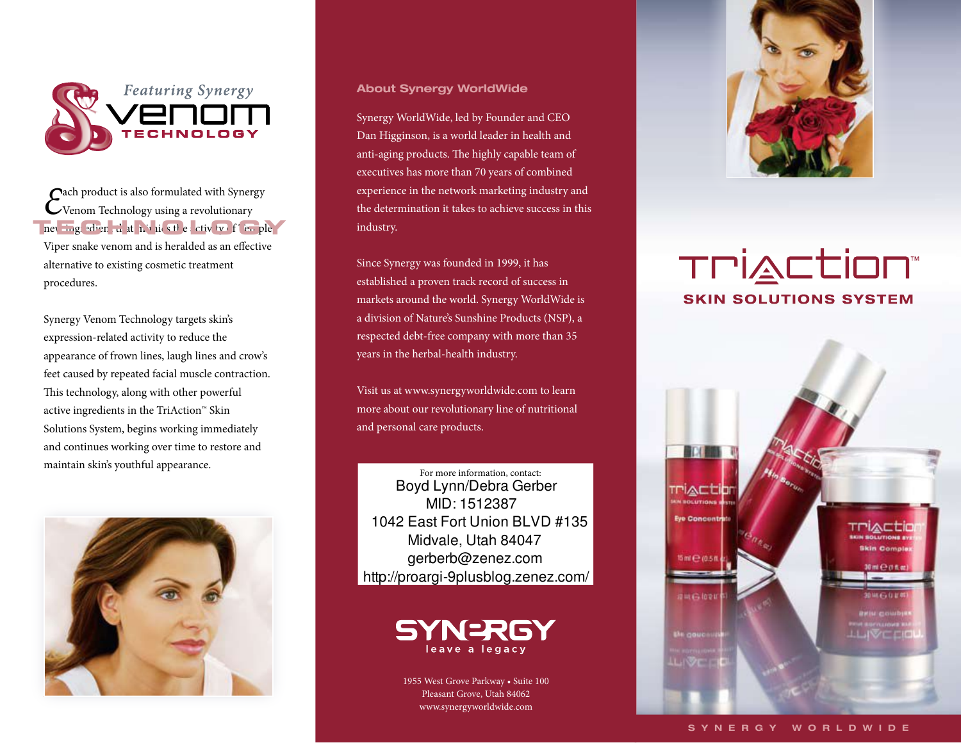

# *E*ach product is also formulated with Synergy Venom Technology using a revolutionary  $\frac{1}{\sqrt{2}}$  **EXECUTER**  $\frac{1}{\sqrt{2}}$  **EXECUTER**  $\frac{1}{\sqrt{2}}$  **EXECUTER**  $\frac{1}{\sqrt{2}}$  **EXECUTER**  $\frac{1}{\sqrt{2}}$ Viper snake venom and is heralded as an efective alternative to existing cosmetic treatment procedures.

Synergy Venom Technology targets skin's expression-related activity to reduce the appearance of frown lines, laugh lines and crow's feet caused by repeated facial muscle contraction. This technology, along with other powerful active ingredients in the TriAction™ Skin Solutions System, begins working immediately and continues working over time to restore and maintain skin's youthful appearance.



## **About Synergy WorldWide**

Synergy WorldWide, led by Founder and CEO Dan Higginson, is a world leader in health and anti-aging products. The highly capable team of executives has more than 70 years of combined experience in the network marketing industry and the determination it takes to achieve success in this industry.

Since Synergy was founded in 1999, it has established a proven track record of success in markets around the world. Synergy WorldWide is a division of Nature's Sunshine Products (NSP), a respected debt-free company with more than 35 years in the herbal-health industry.

Visit us at www.synergyworldwide.com to learn more about our revolutionary line of nutritional and personal care products.

For more information, contact: Boyd Lynn/Debra Gerber MID: 1512387 1042 East Fort Union BLVD #135 Midvale, Utah 84047 gerberb@zenez.com http://proargi-9plusblog.zenez.com/



1955 West Grove Parkway • Suite 100 Pleasant Grove, Utah 84062 www.synergyworldwide.com



# TPIACtion **SKIN SOLUTIONS SYSTEM**